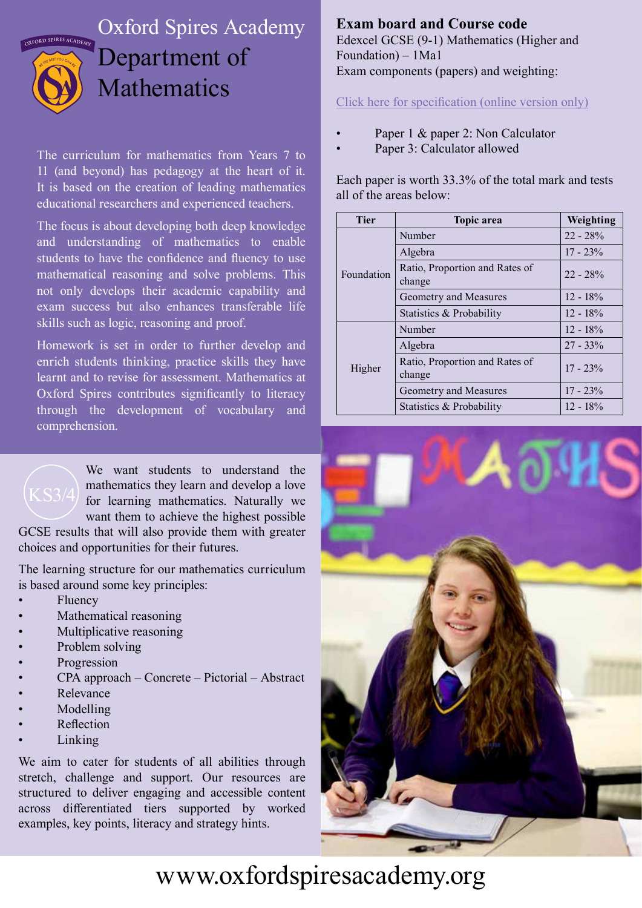

## Oxford Spires Academy Department of Mathematics

The curriculum for mathematics from Years 7 to 11 (and beyond) has pedagogy at the heart of it. It is based on the creation of leading mathematics educational researchers and experienced teachers.

The focus is about developing both deep knowledge and understanding of mathematics to enable students to have the confidence and fluency to use mathematical reasoning and solve problems. This not only develops their academic capability and exam success but also enhances transferable life skills such as logic, reasoning and proof.

Homework is set in order to further develop and enrich students thinking, practice skills they have learnt and to revise for assessment. Mathematics at Oxford Spires contributes significantly to literacy through the development of vocabulary and comprehension.



We want students to understand the mathematics they learn and develop a love for learning mathematics. Naturally we want them to achieve the highest possible

GCSE results that will also provide them with greater choices and opportunities for their futures.

The learning structure for our mathematics curriculum is based around some key principles:

- **Fluency**
- Mathematical reasoning
- Multiplicative reasoning
- Problem solving
- Progression
- CPA approach Concrete Pictorial Abstract
- **Relevance**
- **Modelling**
- **Reflection**
- **Linking**

We aim to cater for students of all abilities through stretch, challenge and support. Our resources are structured to deliver engaging and accessible content across differentiated tiers supported by worked examples, key points, literacy and strategy hints.

## **Exam board and Course code**

Edexcel GCSE (9-1) Mathematics (Higher and Foundation) – 1Ma1 Exam components (papers) and weighting:

Click here for specification (online version only)

- Paper 1 & paper 2: Non Calculator
	- Paper 3: Calculator allowed

Each paper is worth 33.3% of the total mark and tests all of the areas below:

| <b>Tier</b> | <b>Topic area</b>                        | Weighting   |
|-------------|------------------------------------------|-------------|
| Foundation  | Number                                   | $22 - 28%$  |
|             | Algebra                                  | $17 - 23\%$ |
|             | Ratio, Proportion and Rates of<br>change | $22 - 28%$  |
|             | Geometry and Measures                    | $12 - 18\%$ |
|             | Statistics & Probability                 | $12 - 18\%$ |
| Higher      | Number                                   | $12 - 18\%$ |
|             | Algebra                                  | $27 - 33\%$ |
|             | Ratio, Proportion and Rates of<br>change | $17 - 23\%$ |
|             | Geometry and Measures                    | $17 - 23%$  |
|             | Statistics & Probability                 | $12 - 18\%$ |



## www.oxfordspiresacademy.org